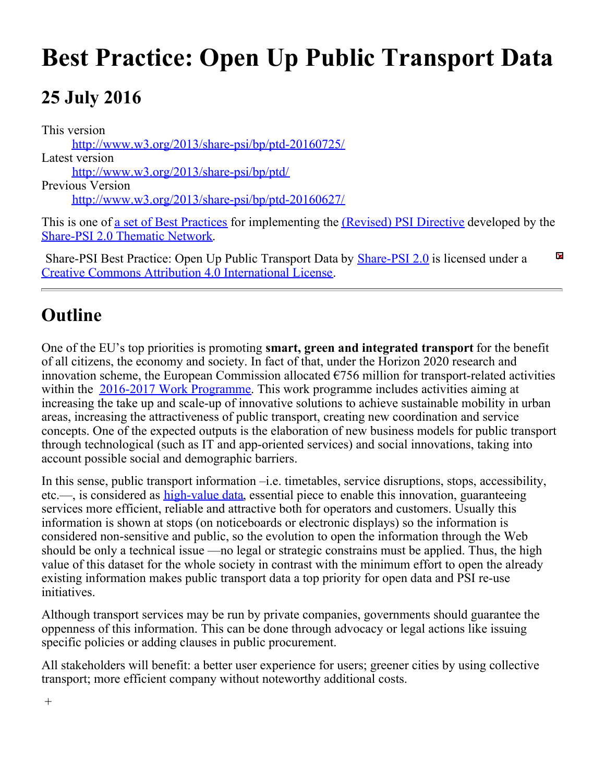# **Best Practice: Open Up Public Transport Data**

# **25 July 2016**

[Share-PSI 2.0 Thematic Network](http://www.w3.org/2013/share-psi/).

This version [http://www.w3.org/2013/share-psi/bp/ptd-20160725/](https://www.w3.org/2013/share-psi/bp/ptd-20160725/) Latest version [http://www.w3.org/2013/share-psi/bp/ptd/](https://www.w3.org/2013/share-psi/bp/ptd/) Previous Version [http://www.w3.org/2013/share-psi/bp/ptd-20160627/](https://www.w3.org/2013/share-psi/bp/ptd-20160627/) This is one of <u>a set of Best Practices</u> for implementing the *(Revised)* PSI Directive developed by the

 $\overline{\mathbf{x}}$ Share-PSI Best Practice: Open Up Public Transport Data by [Share-PSI 2.0](http://www.w3.org/2013/share-psi/) is licensed under a [Creative Commons Attribution 4.0 International License](http://creativecommons.org/licenses/by/4.0/).

### **Outline**

One of the EU's top priorities is promoting **smart, green and integrated transport** for the benefit of all citizens, the economy and society. In fact of that, under the Horizon 2020 research and innovation scheme, the European Commission allocated  $\epsilon$ 756 million for transport-related activities within the [2016-2017 Work Programme](http://ec.europa.eu/research/participants/data/ref/h2020/wp/2016_2017/main/h2020-wp1617-transport_en.pdf). This work programme includes activities aiming at increasing the take up and scale-up of innovative solutions to achieve sustainable mobility in urban areas, increasing the attractiveness of public transport, creating new coordination and service concepts. One of the expected outputs is the elaboration of new business models for public transport through technological (such as IT and app-oriented services) and social innovations, taking into account possible social and demographic barriers.

In this sense, public transport information –i.e. timetables, service disruptions, stops, accessibility, etc.—, is considered as [high-value data](https://www.gov.uk/government/uploads/system/uploads/attachment_data/file/207772/Open_Data_Charter.pdf), essential piece to enable this innovation, guaranteeing services more efficient, reliable and attractive both for operators and customers. Usually this information is shown at stops (on noticeboards or electronic displays) so the information is considered non-sensitive and public, so the evolution to open the information through the Web should be only a technical issue —no legal or strategic constrains must be applied. Thus, the high value of this dataset for the whole society in contrast with the minimum effort to open the already existing information makes public transport data a top priority for open data and PSI re-use initiatives.

Although transport services may be run by private companies, governments should guarantee the oppenness of this information. This can be done through advocacy or legal actions like issuing specific policies or adding clauses in public procurement.

All stakeholders will benefit: a better user experience for users; greener cities by using collective transport; more efficient company without noteworthy additional costs.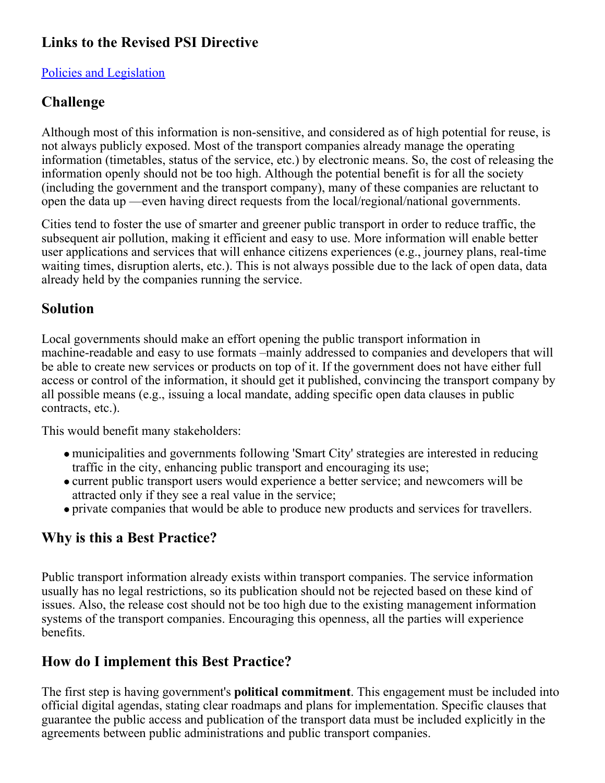#### **Links to the Revised PSI Directive**

#### [Policies and Legislation](https://www.w3.org/2013/share-psi/bp/policy/)

#### **Challenge**

Although most of this information is non-sensitive, and considered as of high potential for reuse, is not always publicly exposed. Most of the transport companies already manage the operating information (timetables, status of the service, etc.) by electronic means. So, the cost of releasing the information openly should not be too high. Although the potential benefit is for all the society (including the government and the transport company), many of these companies are reluctant to open the data up —even having direct requests from the local/regional/national governments.

Cities tend to foster the use of smarter and greener public transport in order to reduce traffic, the subsequent air pollution, making it efficient and easy to use. More information will enable better user applications and services that will enhance citizens experiences (e.g., journey plans, real-time waiting times, disruption alerts, etc.). This is not always possible due to the lack of open data, data already held by the companies running the service.

#### **Solution**

Local governments should make an effort opening the public transport information in machine-readable and easy to use formats –mainly addressed to companies and developers that will be able to create new services or products on top of it. If the government does not have either full access or control of the information, it should get it published, convincing the transport company by all possible means (e.g., issuing a local mandate, adding specific open data clauses in public contracts, etc.).

This would benefit many stakeholders:

- municipalities and governments following 'Smart City' strategies are interested in reducing traffic in the city, enhancing public transport and encouraging its use;
- current public transport users would experience a better service; and newcomers will be attracted only if they see a real value in the service;
- private companies that would be able to produce new products and services for travellers.

#### **Why is this a Best Practice?**

Public transport information already exists within transport companies. The service information usually has no legal restrictions, so its publication should not be rejected based on these kind of issues. Also, the release cost should not be too high due to the existing management information systems of the transport companies. Encouraging this openness, all the parties will experience benefits.

#### **How do I implement this Best Practice?**

The first step is having government's **political commitment**. This engagement must be included into official digital agendas, stating clear roadmaps and plans for implementation. Specific clauses that guarantee the public access and publication of the transport data must be included explicitly in the agreements between public administrations and public transport companies.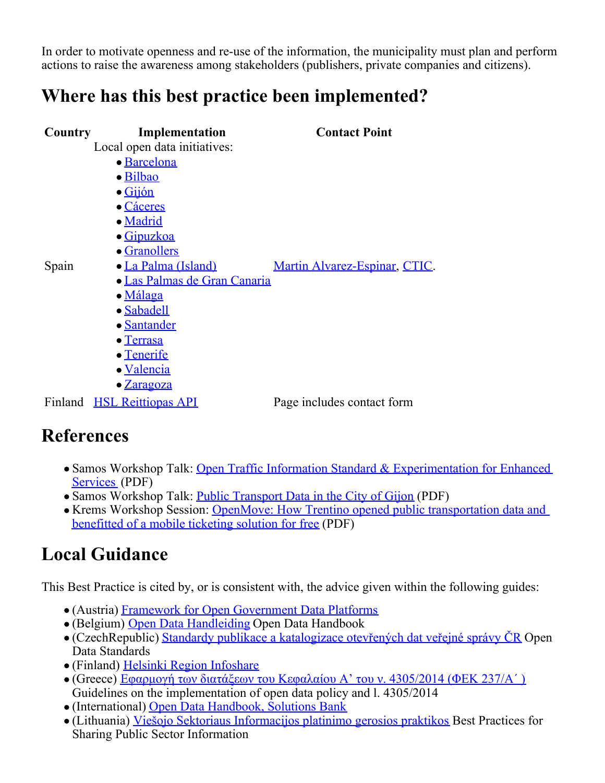In order to motivate openness and re-use of the information, the municipality must plan and perform actions to raise the awareness among stakeholders (publishers, private companies and citizens).

### **Where has this best practice been implemented?**

| <b>Country</b> | Implementation                      | <b>Contact Point</b>          |
|----------------|-------------------------------------|-------------------------------|
|                | Local open data initiatives:        |                               |
|                | • Barcelona                         |                               |
|                | · Bilbao                            |                               |
|                | $\bullet$ Gijón                     |                               |
|                | • Cáceres                           |                               |
|                | · Madrid                            |                               |
|                | · Gipuzkoa                          |                               |
|                | • Granollers                        |                               |
| Spain          | • La Palma (Island)                 | Martin Alvarez-Espinar, CTIC. |
|                | <b>• Las Palmas de Gran Canaria</b> |                               |
|                | • Málaga                            |                               |
|                | • Sabadell                          |                               |
|                | • Santander                         |                               |
|                | • Terrasa                           |                               |
|                | • Tenerife                          |                               |
|                | • Valencia                          |                               |
|                | $\bullet$ $\underline{Zaragoza}$    |                               |
|                | Finland HSL Reittiopas API          | Page includes contact form    |
|                |                                     |                               |

### **References**

- Samos Workshop Talk: [Open Traffic Information Standard & Experimentation for Enhanced](https://www.w3.org/2013/share-psi/wiki/images/8/88/SharePSI-ODF-Samos0714-V1.pdf) [Services](https://www.w3.org/2013/share-psi/wiki/images/8/88/SharePSI-ODF-Samos0714-V1.pdf) (PDF)
- Samos Workshop Talk: [Public Transport Data in the City of Gijon](https://www.w3.org/2013/share-psi/wiki/images/f/f5/Transport_gijon_sharepsi.pdf) (PDF)
- Krems Workshop Session: [OpenMove: How Trentino opened public transportation data and](https://www.w3.org/2013/share-psi/workshop/krems/papers/OpenMove) [benefitted of a mobile ticketing solution for free](https://www.w3.org/2013/share-psi/workshop/krems/papers/OpenMove) (PDF)

# **Local Guidance**

This Best Practice is cited by, or is consistent with, the advice given within the following guides:

- (Austria) [Framework for Open Government Data Platforms](https://www.w3.org/2013/share-psi/lg/Austria#atGuide)
- (Belgium) [Open Data Handleiding](https://www.w3.org/2013/share-psi/lg/Belgium#vlGuide) Open Data Handbook
- (CzechRepublic) [Standardy publikace a katalogizace otevřených dat veřejné správy ČR](https://www.w3.org/2013/share-psi/lg/CzechRepublic#czOpenDataStandards) Open Data Standards
- (Finland) [Helsinki Region Infoshare](https://www.w3.org/2013/share-psi/lg/Finland#hriGuide)
- (Greece) [Εφαρμογή των διατάξεων του Κεφαλαίου Α' του ν. 4305/2014 \(ΦΕΚ 237/Α΄ \)](https://www.w3.org/2013/share-psi/lg/Greece#grGuide) Guidelines on the implementation of open data policy and l. 4305/2014
- (International) [Open Data Handbook, Solutions Bank](https://www.w3.org/2013/share-psi/lg/International#okhbsb)
- (Lithuania) [Viešojo Sektoriaus Informacijos platinimo gerosios praktikos](https://www.w3.org/2013/share-psi/lg/Lithuania#ltGuide) Best Practices for Sharing Public [Sector Information](https://www.w3.org/2013/share-psi/lg/Luxembourg#luGuide)